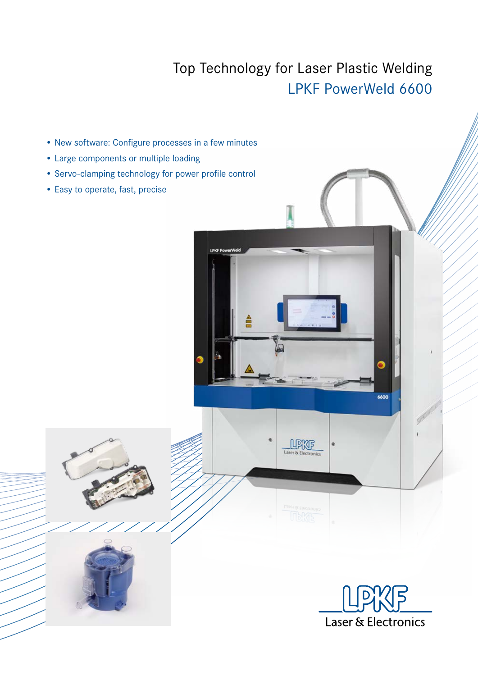## Top Technology for Laser Plastic Welding LPKF PowerWeld 6600

UPKF

- New software: Configure processes in a few minutes
- Large components or multiple loading
- Servo-clamping technology for power profile control
- Easy to operate, fast, precise



6600